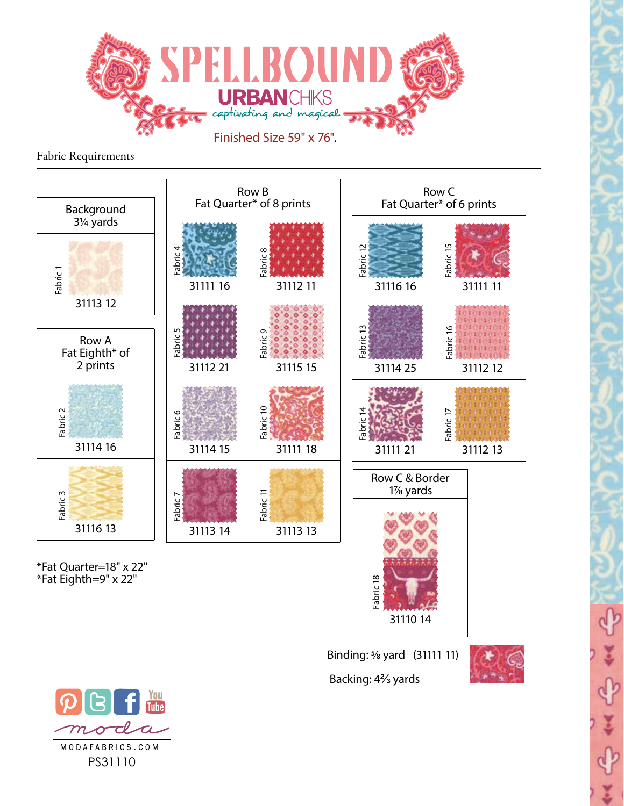

Fabric Requirements



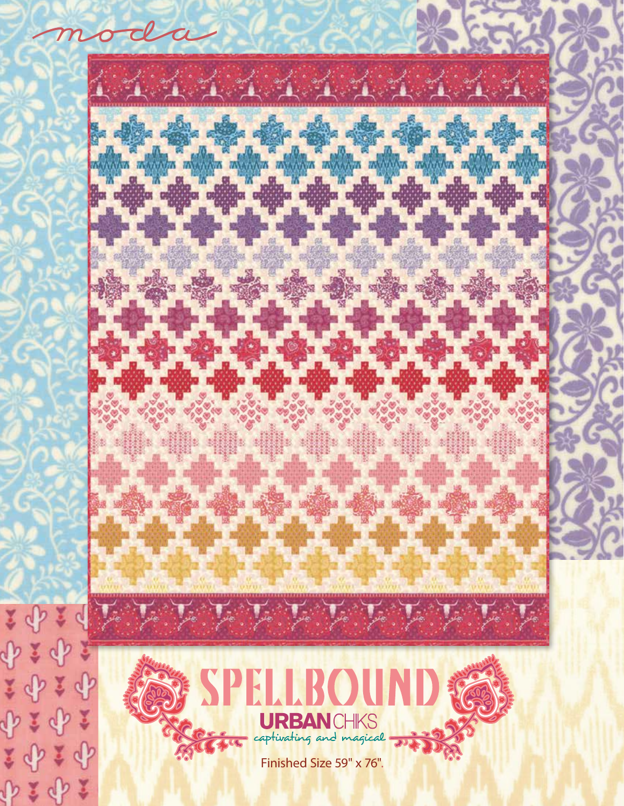

dD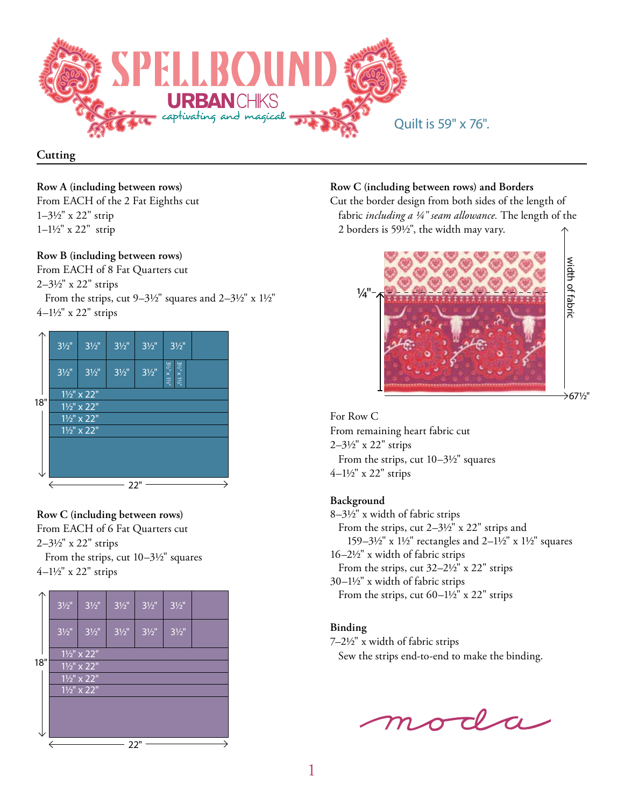

## **Cutting**

### **Row A (including between rows)**

From EACH of the 2 Fat Eighths cut 1–31/2" x 22" strip  $1-1\frac{1}{2}$ " x 22" strip

### **Row B (including between rows)**

From EACH of 8 Fat Quarters cut 2–31/2" x 22" strips From the strips, cut  $9-3\frac{1}{2}$ " squares and  $2-3\frac{1}{2}$ " x  $1\frac{1}{2}$ " 4–11/2" x 22" strips



# **Row C (including between rows)**

From EACH of 6 Fat Quarters cut 2–31/2" x 22" strips

From the strips, cut  $10-3\frac{1}{2}$ " squares 4–11/2" x 22" strips



#### **Row C (including between rows) and Borders**

Cut the border design from both sides of the length of fabric *including a 1/4" seam allowance.* The length of the 2 borders is 591/2", the width may vary.



For Row C From remaining heart fabric cut 2–31/2" x 22" strips From the strips, cut 10-3½" squares 4–11/2" x 22" strips

### **Background**

8–31/2" x width of fabric strips From the strips, cut  $2-3\frac{1}{2}$ " x 22" strips and 159–31/2" x 11/2" rectangles and 2–11/2" x 11/2" squares 16–21/2" x width of fabric strips From the strips, cut  $32-2\frac{1}{2}$ " x  $22$ " strips 30–11/2" x width of fabric strips From the strips, cut  $60-1\frac{1}{2}$ " x 22" strips

### **Binding**

7–21/2" x width of fabric strips Sew the strips end-to-end to make the binding.

moda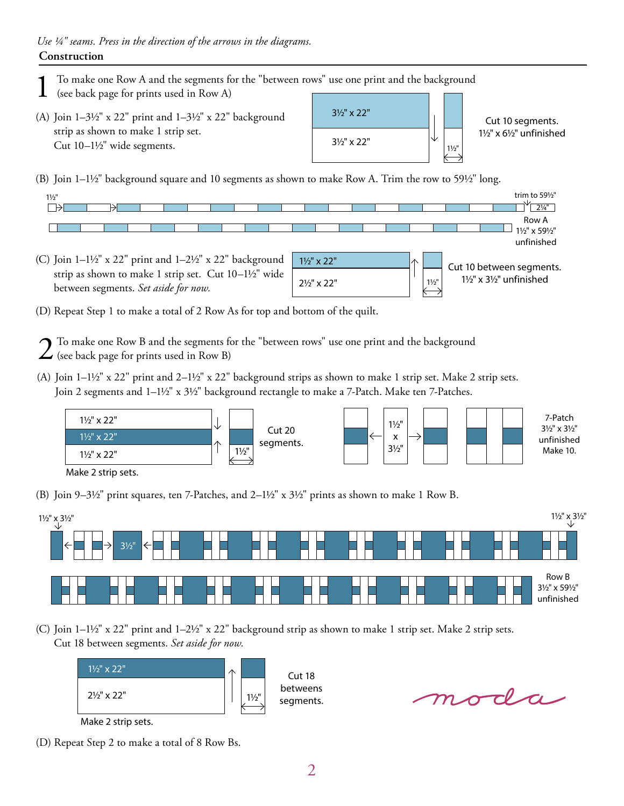$1\frac{1}{2}$ " 31/2" x 22" 31/2" x 22" 1 To make one Row A and the segments for the "between rows" use one print and the background (see back page for prints used in Row A) (A) Join  $1-3\frac{1}{2}$ " x 22" print and  $1-3\frac{1}{2}$ " x 22" background strip as shown to make 1 strip set. Cut  $10-1\frac{1}{2}$ " wide segments. Cut 10 segments. 11/2" x 61/2" unfinished (B) Join  $1-1\frac{1}{2}$ " background square and 10 segments as shown to make Row A. Trim the row to 59 $\frac{1}{2}$ " long.



- (C) Join  $1-1\frac{1}{2}$ " x 22" print and  $1-2\frac{1}{2}$ " x 22" background strip as shown to make 1 strip set. Cut  $10-1\frac{1}{2}$ " wide between segments. *Set aside for now.*
	- 21/2" x 22"  $11/2"$  11/2" x 31/2" unfinished
- (D) Repeat Step 1 to make a total of 2 Row As for top and bottom of the quilt.
- 2 To make one Row B and the segments for the "between rows" use one print and the background  $\angle$  (see back page for prints used in Row B)
- (A) Join  $1-1\frac{1}{2}$  x 22" print and  $2-1\frac{1}{2}$  x 22" background strips as shown to make 1 strip set. Make 2 strip sets. Join 2 segments and 1–1½" x 3½" background rectangle to make a 7-Patch. Make ten 7-Patches.



Make 2 strip sets.

(B) Join 9–3 $\frac{1}{2}$ " print squares, ten 7-Patches, and 2–1 $\frac{1}{2}$ " x 3 $\frac{1}{2}$ " prints as shown to make 1 Row B.



(C) Join  $1-1\frac{1}{2}$ " x 22" print and  $1-2\frac{1}{2}$ " x 22" background strip as shown to make 1 strip set. Make 2 strip sets. Cut 18 between segments. *Set aside for now.*



Cut 10 between segments.

Make 2 strip sets.

(D) Repeat Step 2 to make a total of 8 Row Bs.

moda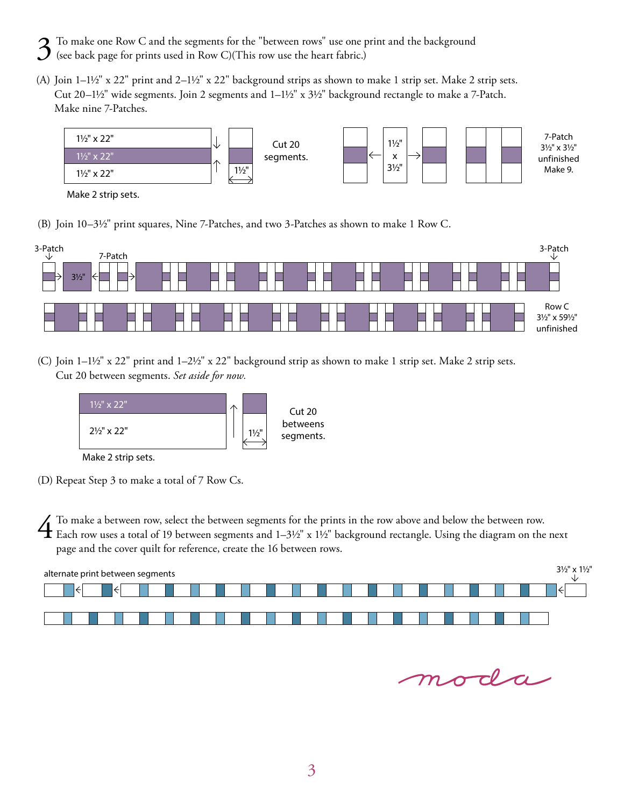3 To make one Row C and the segments for the "between rows" use one print and the background  $\sum$  (see back page for prints used in Row C)(This row use the heart fabric.)

(A) Join  $1-1\frac{1}{2}$ " x 22" print and  $2-1\frac{1}{2}$ " x 22" background strips as shown to make 1 strip set. Make 2 strip sets. Cut 20–1½" wide segments. Join 2 segments and  $1-1\frac{1}{2}$ " x 3½" background rectangle to make a 7-Patch. Make nine 7-Patches.



Make 2 strip sets.

(B) Join 10–31/2" print squares, Nine 7-Patches, and two 3-Patches as shown to make 1 Row C.



(C) Join  $1-1\frac{1}{2}$ " x 22" print and  $1-2\frac{1}{2}$ " x 22" background strip as shown to make 1 strip set. Make 2 strip sets. Cut 20 between segments. *Set aside for now.*



Make 2 strip sets.

(D) Repeat Step 3 to make a total of 7 Row Cs.

 $\overline{\mathbf{A}}$  To make a between row, select the between segments for the prints in the row above and below the between row.<br>Each row uses a total of 19 between segments and  $1-3\frac{1}{2}$ " x  $1\frac{1}{2}$ " background rectangle. page and the cover quilt for reference, create the 16 between rows.



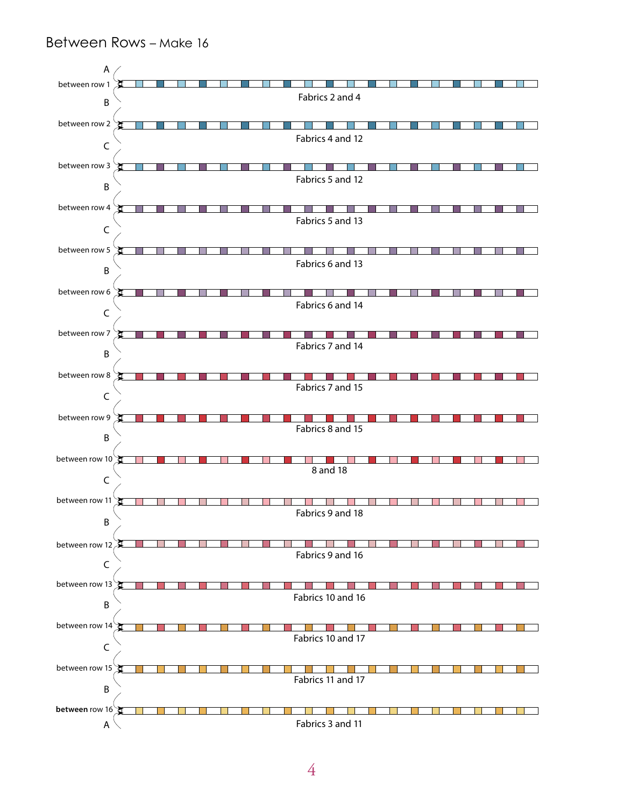Between Rows – Make 16

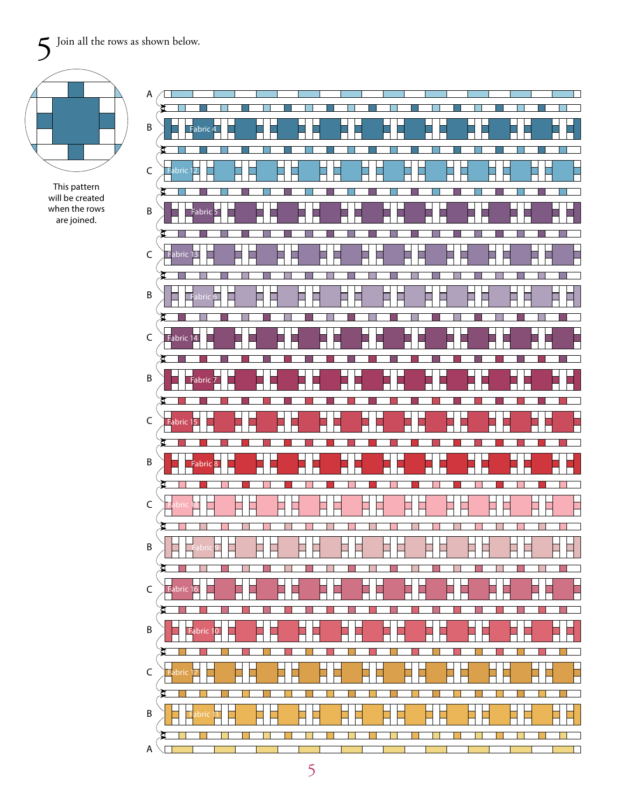

This pattern will be created when the rows are joined.